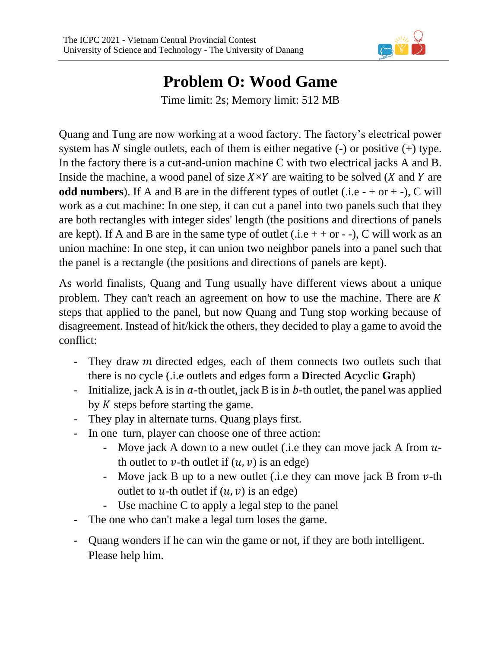

## **Problem O: Wood Game** Time limit: 2s; Memory limit: 512 MB

Quang and Tung are now working at a wood factory. The factory's electrical power system has N single outlets, each of them is either negative  $(-)$  or positive  $(+)$  type. In the factory there is a cut-and-union machine C with two electrical jacks A and B. Inside the machine, a wood panel of size  $X \times Y$  are waiting to be solved (X and Y are **odd numbers**). If A and B are in the different types of outlet (.i.e  $- +$  or  $+$  -), C will work as a cut machine: In one step, it can cut a panel into two panels such that they are both rectangles with integer sides' length (the positions and directions of panels are kept). If A and B are in the same type of outlet (.i.e + + or - -), C will work as an union machine: In one step, it can union two neighbor panels into a panel such that the panel is a rectangle (the positions and directions of panels are kept).

As world finalists, Quang and Tung usually have different views about a unique problem. They can't reach an agreement on how to use the machine. There are  $K$ steps that applied to the panel, but now Quang and Tung stop working because of disagreement. Instead of hit/kick the others, they decided to play a game to avoid the conflict:

- They draw *m* directed edges, each of them connects two outlets such that there is no cycle (.i.e outlets and edges form a **D**irected **A**cyclic **G**raph)
- Initialize, jack A is in  $a$ -th outlet, jack B is in b-th outlet, the panel was applied by  $K$  steps before starting the game.
- They play in alternate turns. Quang plays first.
- In one turn, player can choose one of three action:
	- Move jack A down to a new outlet (i.e they can move jack A from  $u$ th outlet to  $v$ -th outlet if  $(u, v)$  is an edge)
	- Move jack B up to a new outlet (i.e they can move jack B from  $\nu$ -th outlet to u-th outlet if  $(u, v)$  is an edge)
	- Use machine C to apply a legal step to the panel
- The one who can't make a legal turn loses the game.
- Quang wonders if he can win the game or not, if they are both intelligent. Please help him.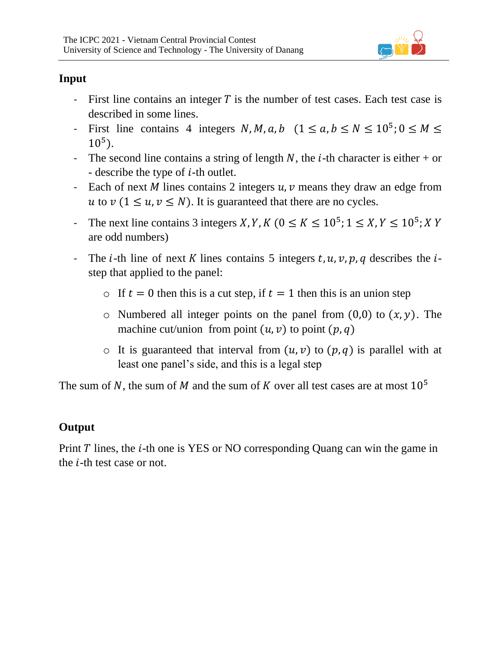

## **Input**

- First line contains an integer  $T$  is the number of test cases. Each test case is described in some lines.
- First line contains 4 integers  $N, M, a, b \ (1 \le a, b \le N \le 10^5; 0 \le M \le$  $10^5$ ).
- The second line contains a string of length N, the *i*-th character is either + or - describe the type of  $i$ -th outlet.
- Each of next  $M$  lines contains 2 integers  $u$ ,  $v$  means they draw an edge from u to  $\nu$  (1  $\leq u, \nu \leq N$ ). It is guaranteed that there are no cycles.
- The next line contains 3 integers X, Y, K ( $0 \le K \le 10^5$ ;  $1 \le X$ ,  $Y \le 10^5$ ; X Y are odd numbers)
- The *i*-th line of next K lines contains 5 integers  $t$ ,  $u$ ,  $v$ ,  $p$ ,  $q$  describes the *i*step that applied to the panel:
	- o If  $t = 0$  then this is a cut step, if  $t = 1$  then this is an union step
	- $\circ$  Numbered all integer points on the panel from (0,0) to  $(x, y)$ . The machine cut/union from point  $(u, v)$  to point  $(p, q)$
	- $\circ$  It is guaranteed that interval from  $(u, v)$  to  $(p, q)$  is parallel with at least one panel's side, and this is a legal step

The sum of N, the sum of M and the sum of K over all test cases are at most  $10^5$ 

## **Output**

Print  $T$  lines, the  $i$ -th one is YES or NO corresponding Quang can win the game in the  $i$ -th test case or not.